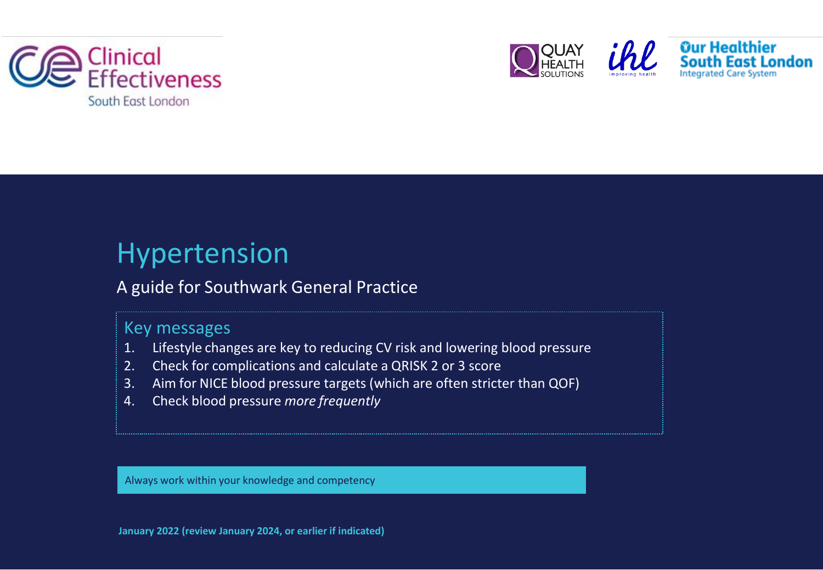





# Hypertension

# A guide for Southwark General Practice

# Key messages

- 1. Lifestyle changes are key to reducing CV risk and lowering blood pressure
- 2. Check for complications and calculate a QRISK 2 or 3 score
- 3. Aim for NICE blood pressure targets (which are often stricter than QOF)
- 4. Check blood pressure *more frequently*

Always work within your knowledge and competency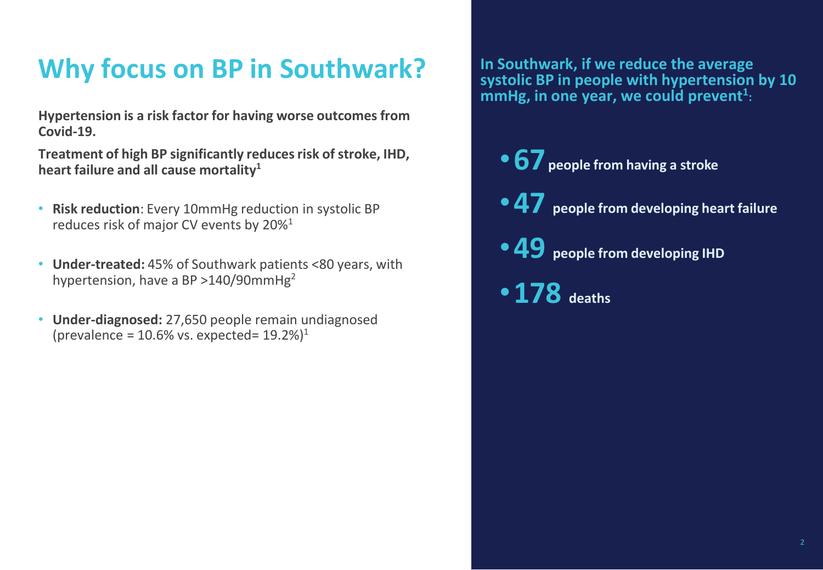# **Why focus on BP in Southwark?**

**Hypertension is a risk factor for having worse outcomes from Covid-19.**

**Treatment of high BP significantly reducesrisk ofstroke, IHD, heart failure and all cause mortality<sup>1</sup>**

- **Risk reduction**: Every 10mmHg reduction in systolic BP reduces risk of major CV events by 20%<sup>1</sup>
- **Under-treated:** 45% of Southwark patients <80 years, with hypertension, have a BP  $>140/90$ mmHg<sup>2</sup>
- **Under-diagnosed:** 27,650 people remain undiagnosed (prevalence =  $10.6\%$  vs. expected=  $19.2\%$ )<sup>1</sup>

**In Southwark, if we reduce the average systolic BP in people with hypertension by 10 mmHg, in one year, we could prevent<sup>1</sup> :**

- •**67 people from having <sup>a</sup> stroke**
- •**47 people from developing heart failure**
- •**49 people from developing IHD**
- •**178 deaths**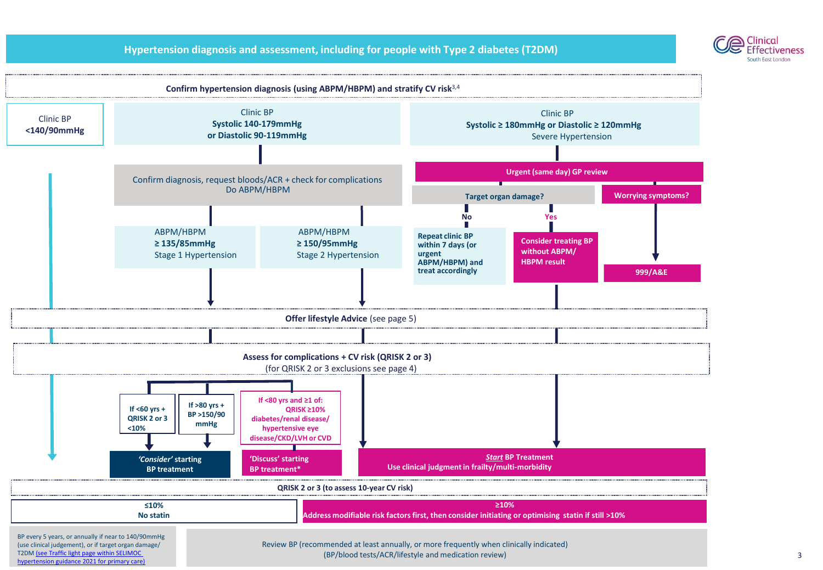### **Hypertension diagnosis and assessment, including for people with Type 2 diabetes (T2DM)**



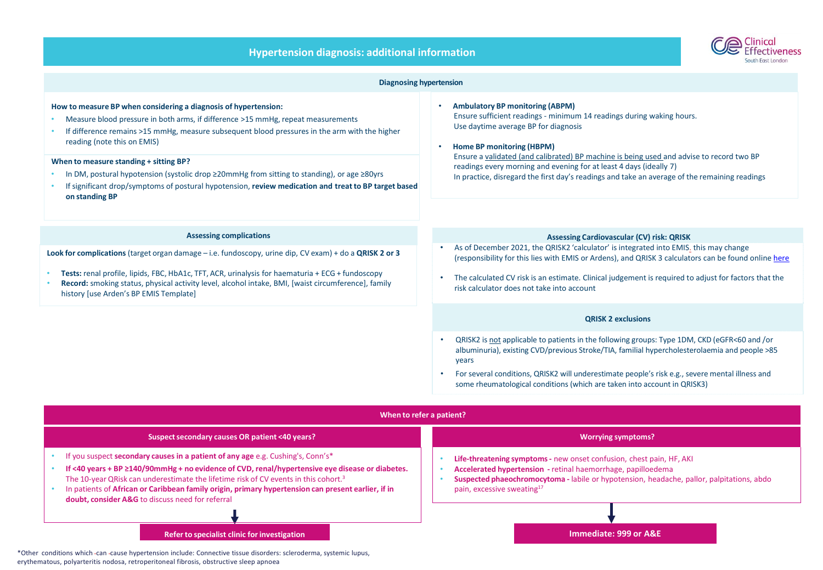|  |  | <b>Hypertension diagnosis: additional information</b> |
|--|--|-------------------------------------------------------|
|  |  |                                                       |



| <b>Diagnosing hypertension</b>                                                                                                                                                                                                                                                                                                                                                                                                                                                                                                                         |                                                                                                                                                                                                                                                                                                                                                                                                                                                                      |  |  |  |
|--------------------------------------------------------------------------------------------------------------------------------------------------------------------------------------------------------------------------------------------------------------------------------------------------------------------------------------------------------------------------------------------------------------------------------------------------------------------------------------------------------------------------------------------------------|----------------------------------------------------------------------------------------------------------------------------------------------------------------------------------------------------------------------------------------------------------------------------------------------------------------------------------------------------------------------------------------------------------------------------------------------------------------------|--|--|--|
| How to measure BP when considering a diagnosis of hypertension:<br>Measure blood pressure in both arms, if difference >15 mmHg, repeat measurements<br>If difference remains >15 mmHg, measure subsequent blood pressures in the arm with the higher<br>reading (note this on EMIS)<br>When to measure standing + sitting BP?<br>In DM, postural hypotension (systolic drop ≥20mmHg from sitting to standing), or age ≥80yrs<br>If significant drop/symptoms of postural hypotension, review medication and treat to BP target based<br>on standing BP | <b>Ambulatory BP monitoring (ABPM)</b><br>$\bullet$<br>Ensure sufficient readings - minimum 14 readings during waking hours.<br>Use daytime average BP for diagnosis<br>Home BP monitoring (HBPM)<br>Ensure a validated (and calibrated) BP machine is being used and advise to record two BP<br>readings every morning and evening for at least 4 days (ideally 7)<br>In practice, disregard the first day's readings and take an average of the remaining readings |  |  |  |
| <b>Assessing complications</b>                                                                                                                                                                                                                                                                                                                                                                                                                                                                                                                         | <b>Assessing Cardiovascular (CV) risk: QRISK</b>                                                                                                                                                                                                                                                                                                                                                                                                                     |  |  |  |
| Look for complications (target organ damage $-$ i.e. fundoscopy, urine dip, CV exam) + do a QRISK 2 or 3<br>Tests: renal profile, lipids, FBC, HbA1c, TFT, ACR, urinalysis for haematuria + ECG + fundoscopy<br>Record: smoking status, physical activity level, alcohol intake, BMI, [waist circumference], family<br>history [use Arden's BP EMIS Template]                                                                                                                                                                                          | As of December 2021, the QRISK2 'calculator' is integrated into EMIS. this may change<br>(responsibility for this lies with EMIS or Ardens), and QRISK 3 calculators can be found online here<br>The calculated CV risk is an estimate. Clinical judgement is required to adjust for factors that the<br>risk calculator does not take into account                                                                                                                  |  |  |  |
|                                                                                                                                                                                                                                                                                                                                                                                                                                                                                                                                                        | <b>QRISK 2 exclusions</b>                                                                                                                                                                                                                                                                                                                                                                                                                                            |  |  |  |
|                                                                                                                                                                                                                                                                                                                                                                                                                                                                                                                                                        | QRISK2 is not applicable to patients in the following groups: Type 1DM, CKD (eGFR<60 and /or<br>albuminuria), existing CVD/previous Stroke/TIA, familial hypercholesterolaemia and people >85<br>vears<br>For several conditions, QRISK2 will underestimate people's risk e.g., severe mental illness and<br>some rheumatological conditions (which are taken into account in QRISK3)                                                                                |  |  |  |
| When to refer a patient?                                                                                                                                                                                                                                                                                                                                                                                                                                                                                                                               |                                                                                                                                                                                                                                                                                                                                                                                                                                                                      |  |  |  |
| Suspect secondary causes OR patient <40 years?                                                                                                                                                                                                                                                                                                                                                                                                                                                                                                         | <b>Worrying symptoms?</b>                                                                                                                                                                                                                                                                                                                                                                                                                                            |  |  |  |
| If you suspect secondary causes in a patient of any age e.g. Cushing's, Conn's*<br>If <40 years + BP ≥140/90mmHg + no evidence of CVD, renal/hypertensive eye disease or diabetes.<br>The 10-year QRisk can underestimate the lifetime risk of CV events in this cohort. <sup>3</sup><br>In patients of African or Caribbean family origin, primary hypertension can present earlier, if in<br>doubt, consider A&G to discuss need for referral                                                                                                        | Life-threatening symptoms - new onset confusion, chest pain, HF, AKI<br>Accelerated hypertension - retinal haemorrhage, papilloedema<br>Suspected phaeochromocytoma - labile or hypotension, headache, pallor, palpitations, abdo<br>pain, excessive sweating <sup>17</sup>                                                                                                                                                                                          |  |  |  |
|                                                                                                                                                                                                                                                                                                                                                                                                                                                                                                                                                        |                                                                                                                                                                                                                                                                                                                                                                                                                                                                      |  |  |  |
|                                                                                                                                                                                                                                                                                                                                                                                                                                                                                                                                                        |                                                                                                                                                                                                                                                                                                                                                                                                                                                                      |  |  |  |

erythematous, polyarteritis nodosa, retroperitoneal fibrosis, obstructive sleep apnoea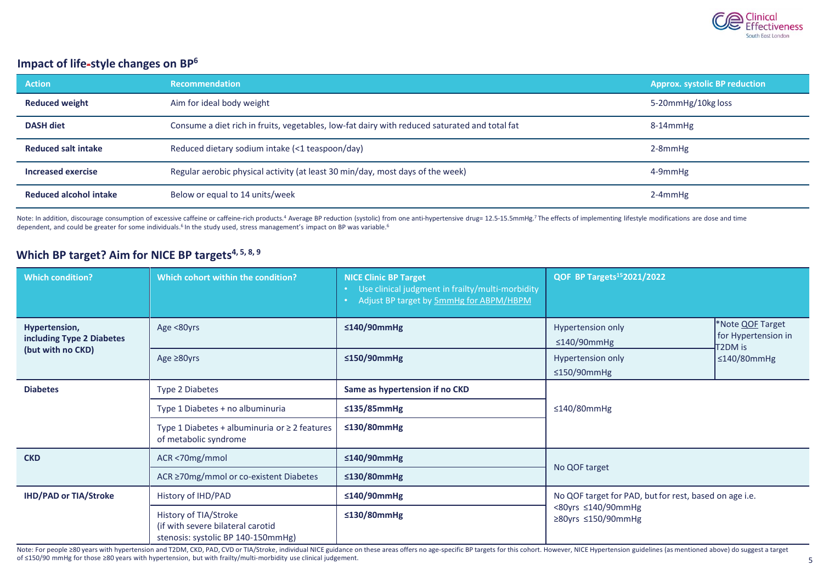

### **Impact of life-style changes on BP<sup>6</sup>**

| <b>Action</b>                 | <b>Recommendation</b>                                                                         | <b>Approx. systolic BP reduction</b> |
|-------------------------------|-----------------------------------------------------------------------------------------------|--------------------------------------|
| <b>Reduced weight</b>         | Aim for ideal body weight                                                                     | 5-20mmHg/10kg loss                   |
| <b>DASH diet</b>              | Consume a diet rich in fruits, vegetables, low-fat dairy with reduced saturated and total fat | $8-14$ mm $Hg$                       |
| <b>Reduced salt intake</b>    | Reduced dietary sodium intake (<1 teaspoon/day)                                               | 2-8mmHg                              |
| Increased exercise            | Regular aerobic physical activity (at least 30 min/day, most days of the week)                | 4-9mmHg                              |
| <b>Reduced alcohol intake</b> | Below or equal to 14 units/week                                                               | $2-4$ mm $Hg$                        |

Note: In addition, discourage consumption of excessive caffeine or caffeine-rich products.<sup>4</sup> Average BP reduction (systolic) from one anti-hypertensive drug= 12.5-15.5mmHg.<sup>7</sup> The effects of implementing lifestyle modific dependent, and could be greater for some individuals.<sup>6</sup> In the study used, stress management's impact on BP was variable.<sup>6</sup>

# **Which BP target? Aim for NICE BP targets4, 5, 8, <sup>9</sup>**

| <b>Which condition?</b>                    | Which cohort within the condition?                                                               | <b>NICE Clinic BP Target</b><br>• Use clinical judgment in frailty/multi-morbidity<br>Adjust BP target by 5mmHg for ABPM/HBPM | QOF BP Targets <sup>15</sup> 2021/2022                 |                                                                                |  |
|--------------------------------------------|--------------------------------------------------------------------------------------------------|-------------------------------------------------------------------------------------------------------------------------------|--------------------------------------------------------|--------------------------------------------------------------------------------|--|
| Hypertension,<br>including Type 2 Diabetes | Age <80yrs                                                                                       | ≤140/90mmHg                                                                                                                   | <b>Hypertension only</b><br>$\leq$ 140/90mmHg          | *Note <b>QOF</b> Target<br>for Hypertension in<br>T2DM is<br>$\leq$ 140/80mmHg |  |
| (but with no CKD)                          | Age $\geq 80$ yrs                                                                                | ≤150/90mmHg                                                                                                                   | Hypertension only<br>$\leq$ 150/90mmHg                 |                                                                                |  |
| <b>Diabetes</b>                            | <b>Type 2 Diabetes</b>                                                                           | Same as hypertension if no CKD                                                                                                | $\leq$ 140/80mmHg                                      |                                                                                |  |
|                                            | Type 1 Diabetes + no albuminuria                                                                 | $\leq$ 135/85mmHg                                                                                                             |                                                        |                                                                                |  |
|                                            | Type 1 Diabetes + albuminuria or $\geq 2$ features<br>of metabolic syndrome                      | $\leq$ 130/80mmHg                                                                                                             |                                                        |                                                                                |  |
| <b>CKD</b>                                 | ACR <70mg/mmol                                                                                   | ≤140/90mmHg                                                                                                                   | No QOF target                                          |                                                                                |  |
|                                            | ACR ≥70mg/mmol or co-existent Diabetes                                                           | $\leq$ 130/80mmHg                                                                                                             |                                                        |                                                                                |  |
| <b>IHD/PAD or TIA/Stroke</b>               | History of IHD/PAD                                                                               | ≤140/90mmHg                                                                                                                   | No QOF target for PAD, but for rest, based on age i.e. |                                                                                |  |
|                                            | History of TIA/Stroke<br>(if with severe bilateral carotid<br>stenosis: systolic BP 140-150mmHg) | $\leq$ 130/80mmHg                                                                                                             | <80yrs ≤140/90mmHg<br>≥80yrs $≤150/90mm$ Hg            |                                                                                |  |

Note: For people ≥80 years with hypertension and T2DM, CKD, PAD, CVD or TIA/Stroke, individual NICE guidance on these areas offers no age-specific BP targets for this cohort. However, NICE Hypertension guidelines (as menti of ≤150/90 mmHg for those ≥80 years with hypertension, but with frailty/multi-morbidity use clinical judgement.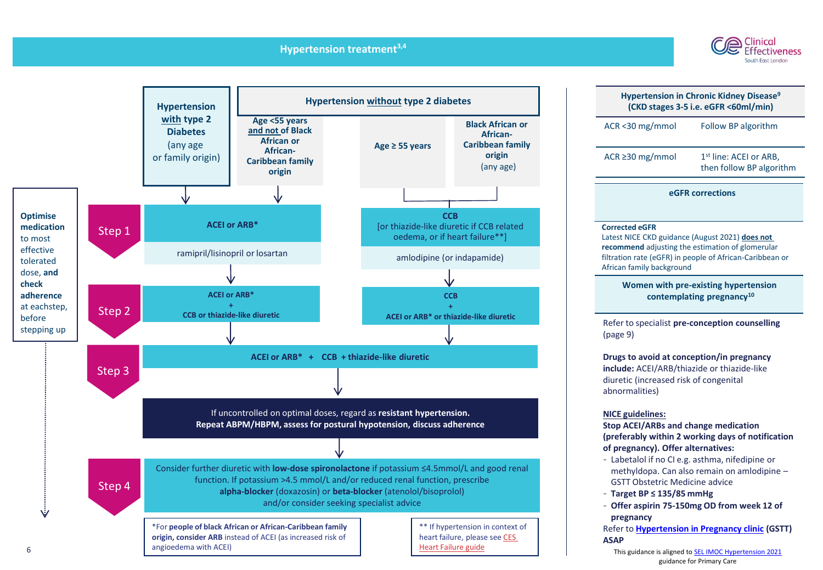### **Hypertension treatment3,4**





| <b>Hypertension in Chronic Kidney Disease<sup>9</sup></b><br>(CKD stages 3-5 i.e. eGFR <60ml/min)                                                                                                                     |                                                                |  |  |
|-----------------------------------------------------------------------------------------------------------------------------------------------------------------------------------------------------------------------|----------------------------------------------------------------|--|--|
| ACR<30 mg/mmol<br>Follow BP algorithm                                                                                                                                                                                 |                                                                |  |  |
| ACR $\geq$ 30 mg/mmol                                                                                                                                                                                                 | 1 <sup>st</sup> line: ACEI or ARB,<br>then follow BP algorithm |  |  |
|                                                                                                                                                                                                                       | eGFR corrections                                               |  |  |
| <b>Corrected eGFR</b><br>Latest NICE CKD guidance (August 2021) does not<br>recommend adjusting the estimation of glomerular<br>filtration rate (eGFR) in people of African-Caribbean or<br>African family background |                                                                |  |  |
| Women with pre-existing hypertension<br>contemplating pregnancy <sup>10</sup>                                                                                                                                         |                                                                |  |  |
| (page 9)                                                                                                                                                                                                              | Refer to specialist pre-conception counselling                 |  |  |
| Drugs to avoid at conception/in pregnancy<br>include: ACEI/ARB/thiazide or thiazide-like<br>diuretic (increased risk of congenital<br>abnormalities)                                                                  |                                                                |  |  |
| <b>NICE guidelines:</b><br><b>Stop ACEI/ARBs and change medication</b>                                                                                                                                                | (preferably within 2 working days of notification              |  |  |
| of pregnancy). Offer alternatives:                                                                                                                                                                                    | - Labetalol if no CI e.g. asthma, nifedipine or                |  |  |

- GSTT Obstetric Medicine advice
- **Target BP ≤ 135/85 mmHg**
- **Offer aspirin 75-150mg OD from week 12 of pregnancy**

Refer to **[Hypertension in](https://www.guysandstthomas.nhs.uk/our-services/maternity/care-during-pregnancy/high-blood-pressure-in-pregnancy.aspx#na) Pregnancy clinic (GSTT) ASAP**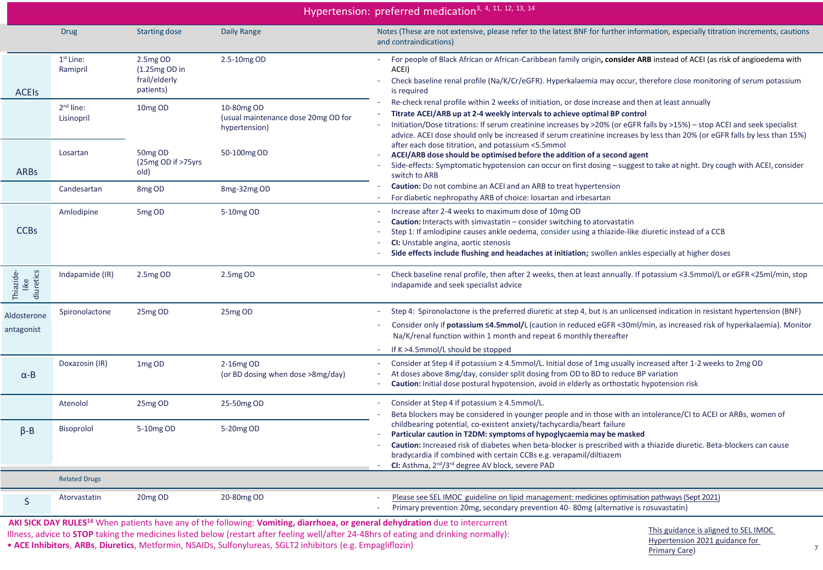|                           | Hypertension: preferred medication <sup>3, 4, 11, 12, 13, 14</sup> |                                                            |                                                                    |                                                                                                                                                                                                                                                                                                                                                                                                                                          |  |  |
|---------------------------|--------------------------------------------------------------------|------------------------------------------------------------|--------------------------------------------------------------------|------------------------------------------------------------------------------------------------------------------------------------------------------------------------------------------------------------------------------------------------------------------------------------------------------------------------------------------------------------------------------------------------------------------------------------------|--|--|
|                           | <b>Drug</b>                                                        | <b>Starting dose</b>                                       | Daily Range                                                        | Notes (These are not extensive, please refer to the latest BNF for further information, especially titration increments, cautions<br>and contraindications)                                                                                                                                                                                                                                                                              |  |  |
| <b>ACEIS</b>              | $1st$ Line:<br>Ramipril                                            | 2.5mg OD<br>$(1.25mg OD)$ in<br>frail/elderly<br>patients) | 2.5-10mg OD                                                        | For people of Black African or African-Caribbean family origin, consider ARB instead of ACEI (as risk of angioedema with<br>$\sim$<br>ACEI)<br>Check baseline renal profile (Na/K/Cr/eGFR). Hyperkalaemia may occur, therefore close monitoring of serum potassium<br>$\overline{\phantom{a}}$<br>is required                                                                                                                            |  |  |
|                           | $2nd$ line:<br>Lisinopril                                          | 10mg OD                                                    | 10-80mg OD<br>(usual maintenance dose 20mg OD for<br>hypertension) | Re-check renal profile within 2 weeks of initiation, or dose increase and then at least annually<br>Titrate ACEI/ARB up at 2-4 weekly intervals to achieve optimal BP control<br>Initiation/Dose titrations: If serum creatinine increases by >20% (or eGFR falls by >15%) - stop ACEI and seek specialist<br>advice. ACEI dose should only be increased if serum creatinine increases by less than 20% (or eGFR falls by less than 15%) |  |  |
| <b>ARBS</b>               | Losartan                                                           | 50mg OD<br>(25mg OD if >75yrs<br>old)                      | 50-100mg OD                                                        | after each dose titration, and potassium <5.5mmol<br>ACEI/ARB dose should be optimised before the addition of a second agent<br>Side-effects: Symptomatic hypotension can occur on first dosing - suggest to take at night. Dry cough with ACEI, consider<br>switch to ARB                                                                                                                                                               |  |  |
|                           | Candesartan                                                        | 8 <sub>mg</sub> OD                                         | 8mg-32mg OD                                                        | Caution: Do not combine an ACEI and an ARB to treat hypertension<br>For diabetic nephropathy ARB of choice: losartan and irbesartan                                                                                                                                                                                                                                                                                                      |  |  |
| <b>CCBs</b>               | Amlodipine                                                         | 5mg OD                                                     | 5-10mg OD                                                          | Increase after 2-4 weeks to maximum dose of 10mg OD<br>$\overline{\phantom{a}}$<br><b>Caution:</b> Interacts with simvastatin – consider switching to atorvastatin<br>Step 1: If amlodipine causes ankle oedema, consider using a thiazide-like diuretic instead of a CCB<br>CI: Unstable angina, aortic stenosis<br>Side effects include flushing and headaches at initiation; swollen ankles especially at higher doses                |  |  |
| Thiazide-<br>diuretics    | Indapamide (IR)                                                    | 2.5mg OD                                                   | 2.5mg OD                                                           | Check baseline renal profile, then after 2 weeks, then at least annually. If potassium <3.5mmol/L or eGFR <25ml/min, stop<br>indapamide and seek specialist advice                                                                                                                                                                                                                                                                       |  |  |
| Aldosterone<br>antagonist | Spironolactone                                                     | 25mg OD                                                    | 25mg OD                                                            | Step 4: Spironolactone is the preferred diuretic at step 4, but is an unlicensed indication in resistant hypertension (BNF)<br>Consider only if potassium ≤4.5mmol/L (caution in reduced eGFR <30ml/min, as increased risk of hyperkalaemia). Monitor<br>Na/K/renal function within 1 month and repeat 6 monthly thereafter<br>If K >4.5mmol/L should be stopped<br>$\sim$                                                               |  |  |
| $\alpha$ -B               | Doxazosin (IR)                                                     | 1 <sub>mg</sub> OD                                         | $2-16mgOD$<br>(or BD dosing when dose >8mg/day)                    | Consider at Step 4 if potassium ≥ 4.5mmol/L. Initial dose of 1mg usually increased after 1-2 weeks to 2mg OD<br>$\sim$<br>At doses above 8mg/day, consider split dosing from OD to BD to reduce BP variation<br>Caution: Initial dose postural hypotension, avoid in elderly as orthostatic hypotension risk<br>$\sim$                                                                                                                   |  |  |
|                           | Atenolol                                                           | 25mg OD                                                    | 25-50mg OD                                                         | Consider at Step 4 if potassium ≥ 4.5mmol/L.<br>$\overline{\phantom{a}}$<br>Beta blockers may be considered in younger people and in those with an intolerance/CI to ACEI or ARBs, women of                                                                                                                                                                                                                                              |  |  |
| $\beta - B$               | Bisoprolol                                                         | 5-10mg OD                                                  | 5-20mg OD                                                          | childbearing potential, co-existent anxiety/tachycardia/heart failure<br>Particular caution in T2DM: symptoms of hypoglycaemia may be masked<br>Caution: Increased risk of diabetes when beta-blocker is prescribed with a thiazide diuretic. Beta-blockers can cause<br>bradycardia if combined with certain CCBs e.g. verapamil/diltiazem<br>CI: Asthma, 2 <sup>nd</sup> /3 <sup>rd</sup> degree AV block, severe PAD<br>$\sim$        |  |  |
|                           | <b>Related Drugs</b>                                               |                                                            |                                                                    |                                                                                                                                                                                                                                                                                                                                                                                                                                          |  |  |
| <sub>S</sub>              | Atorvastatin                                                       | 20 <sub>mg</sub> OD                                        | 20-80mg OD                                                         | Please see SEL IMOC guideline on lipid management: medicines optimisation pathways (Sept 2021)<br>Primary prevention 20mg, secondary prevention 40-80mg (alternative is rosuvastatin)                                                                                                                                                                                                                                                    |  |  |

 **AKI SICK DAY RULES<sup>16</sup>** When patients have any of the following: **Vomiting, diarrhoea, or general dehydration** due to intercurrent Illness, advice to **STOP** taking the medicines listed below (restart after feeling well/after 24-48hrs of eating and drinking normally): • **ACE Inhibitors, ARBs, Diuretics**, Metformin, NSAIDs, Sulfonylureas, SGLT2 inhibitors (e.g. Empagliflozin) **7** *Primary Care Primary Care*) *7 7*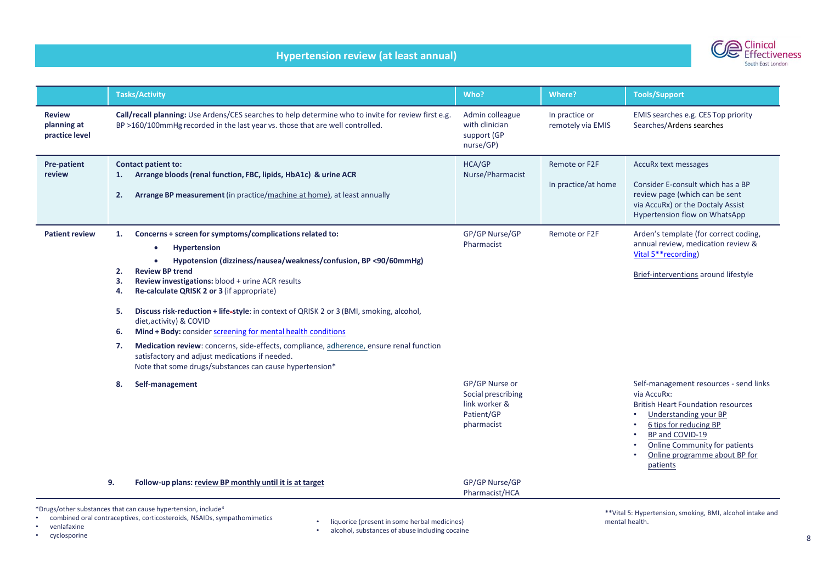## **Hypertension review (at least annual)**



|                                                                                                                                        | <b>Tasks/Activity</b>                                                                                                                                                                                                                                                                                                                                                                                                                                                                                                                                                                                                                                                                                            | Who?                                                                              | Where?                               | <b>Tools/Support</b>                                                                                                                                                                                                                                   |  |
|----------------------------------------------------------------------------------------------------------------------------------------|------------------------------------------------------------------------------------------------------------------------------------------------------------------------------------------------------------------------------------------------------------------------------------------------------------------------------------------------------------------------------------------------------------------------------------------------------------------------------------------------------------------------------------------------------------------------------------------------------------------------------------------------------------------------------------------------------------------|-----------------------------------------------------------------------------------|--------------------------------------|--------------------------------------------------------------------------------------------------------------------------------------------------------------------------------------------------------------------------------------------------------|--|
| <b>Review</b><br>planning at<br>practice level                                                                                         | Call/recall planning: Use Ardens/CES searches to help determine who to invite for review first e.g.<br>BP >160/100mmHg recorded in the last year vs. those that are well controlled.                                                                                                                                                                                                                                                                                                                                                                                                                                                                                                                             | Admin colleague<br>with clinician<br>support (GP<br>nurse/GP)                     | In practice or<br>remotely via EMIS  | EMIS searches e.g. CES Top priority<br>Searches/Ardens searches                                                                                                                                                                                        |  |
| <b>Pre-patient</b><br>review                                                                                                           | <b>Contact patient to:</b><br>Arrange bloods (renal function, FBC, lipids, HbA1c) & urine ACR<br>1.<br>2.<br>Arrange BP measurement (in practice/machine at home), at least annually                                                                                                                                                                                                                                                                                                                                                                                                                                                                                                                             | HCA/GP<br>Nurse/Pharmacist                                                        | Remote or F2F<br>In practice/at home | AccuRx text messages<br>Consider E-consult which has a BP<br>review page (which can be sent<br>via AccuRx) or the Doctaly Assist<br>Hypertension flow on WhatsApp                                                                                      |  |
| <b>Patient review</b>                                                                                                                  | Concerns + screen for symptoms/complications related to:<br>1.<br>Hypertension<br>Hypotension (dizziness/nausea/weakness/confusion, BP <90/60mmHg)<br><b>Review BP trend</b><br>2.<br>Review investigations: blood + urine ACR results<br>З.<br>Re-calculate QRISK 2 or 3 (if appropriate)<br>4.<br>Discuss risk-reduction + life-style: in context of QRISK 2 or 3 (BMI, smoking, alcohol,<br>5.<br>diet, activity) & COVID<br>Mind + Body: consider screening for mental health conditions<br>6.<br>Medication review: concerns, side-effects, compliance, adherence, ensure renal function<br>7.<br>satisfactory and adjust medications if needed.<br>Note that some drugs/substances can cause hypertension* | GP/GP Nurse/GP<br>Pharmacist                                                      | Remote or F2F                        | Arden's template (for correct coding,<br>annual review, medication review &<br>Vital 5** recording)<br>Brief-interventions around lifestyle                                                                                                            |  |
|                                                                                                                                        | Self-management<br>8.                                                                                                                                                                                                                                                                                                                                                                                                                                                                                                                                                                                                                                                                                            | GP/GP Nurse or<br>Social prescribing<br>link worker &<br>Patient/GP<br>pharmacist |                                      | Self-management resources - send links<br>via AccuRx:<br><b>British Heart Foundation resources</b><br>Understanding your BP<br>6 tips for reducing BP<br>BP and COVID-19<br>Online Community for patients<br>Online programme about BP for<br>patients |  |
|                                                                                                                                        | 9.<br>Follow-up plans: review BP monthly until it is at target                                                                                                                                                                                                                                                                                                                                                                                                                                                                                                                                                                                                                                                   | GP/GP Nurse/GP<br>Pharmacist/HCA                                                  |                                      |                                                                                                                                                                                                                                                        |  |
| *Drugs/other substances that can cause hypertension, include <sup>4</sup><br>**\/ital E: Hypertonsian, smaking, PML alsohol intake and |                                                                                                                                                                                                                                                                                                                                                                                                                                                                                                                                                                                                                                                                                                                  |                                                                                   |                                      |                                                                                                                                                                                                                                                        |  |

• combined oral contraceptives, corticosteroids, NSAIDs, sympathomimetics

- venlafaxine
- cyclosporine
- liquorice (present in some herbal medicines)
- alcohol, substances of abuse including cocaine

\*\*Vital 5: Hypertension, smoking, BMI, alcohol intake and mental health.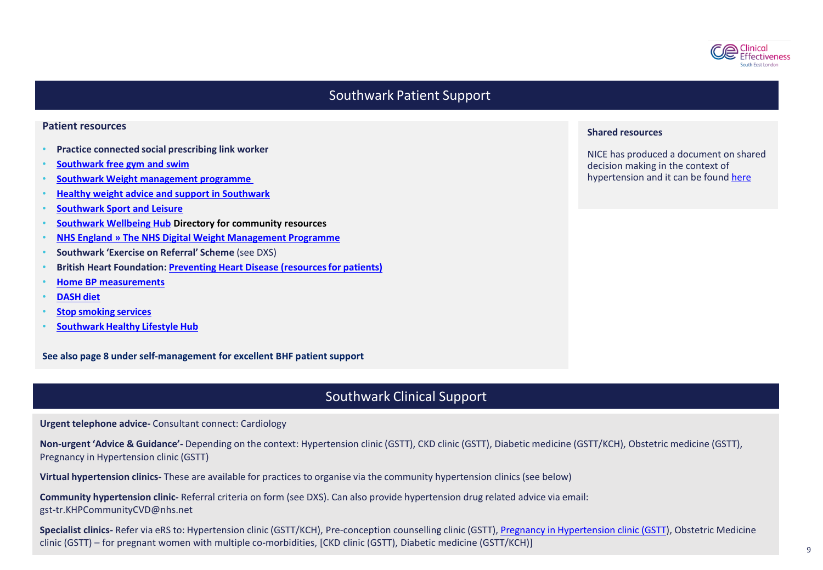

## Southwark Patient Support

#### **Patient resources**

- **Practice connected social prescribing link worker**
- **[Southwark](https://www.southwark.gov.uk/leisure-and-sport/free-swim-and-gym) free gym and swim**
- **Southwark Weight [management programme](https://www.guysandstthomas.nhs.uk/our-services/healthy-weight/overview.aspx)**
- **Healthy [weight advice and support in Southwark](https://www.southwark.gov.uk/health-and-wellbeing/health-advice-and-support/healthy-weight?chapter=4)**
- **[Southwark Sport and Leisure](https://www.southwark.gov.uk/leisure-and-sport)**
- **[Southwark Wellbeing Hub](http://www.together-uk.org/southwark-wellbeing-hub/the-directory/) Directory for community resources**
- **[NHS England » The NHS Digital Weight Management Programme](https://www.england.nhs.uk/digital-weight-management/)**
- **Southwark 'Exercise on Referral' Scheme** (see DXS)
- **British Heart Foundation: Preventing Heart Disease [\(resourcesfor](https://www.bhf.org.uk/informationsupport/publications/preventing-heart-disease) patients)**
- **[Home BP measurements](https://www.bhf.org.uk/informationsupport/support/manage-your-blood-pressure-at-home)**
- **[DASH](https://www.nhlbi.nih.gov/files/docs/public/heart/dash_brief.pdf) diet**
- **Stop [smoking](https://southwark.everyonehealth.co.uk/stop-smoking-service/) services**
- **[Southwark](https://southwark.everyonehealth.co.uk/) Healthy Lifestyle Hub**

**See also page 8 under self-management for excellent BHF patient support**

## Southwark Clinical Support

**Urgent telephone advice-** Consultant connect: Cardiology

**Non-urgent 'Advice & Guidance'-** Depending on the context: Hypertension clinic (GSTT), CKD clinic (GSTT), Diabetic medicine (GSTT/KCH), Obstetric medicine (GSTT), Pregnancy in Hypertension clinic (GSTT)

**Virtual hypertension clinics-** These are available for practices to organise via the community hypertension clinics (see below)

**Community hypertension clinic-** Referral criteria on form (see DXS). Can also provide hypertension drug related advice via email: [gst-tr.KHPCommunityCVD@nhs.net](mailto:gst-tr.KHPCommunityCVD@nhs.net)

**Specialist clinics-** Refer via eRS to: Hypertension clinic (GSTT/KCH), Pre-conception counselling clinic (GSTT), Pregnancy in [Hypertension](https://www.guysandstthomas.nhs.uk/our-services/maternity/care-during-pregnancy/high-blood-pressure-in-pregnancy.aspx#na) clinic (GSTT), Obstetric Medicine clinic (GSTT) – for pregnant women with multiple co-morbidities, [CKD clinic (GSTT), Diabetic medicine (GSTT/KCH)]

#### **Shared resources**

NICE has produced a document on shared decision making in the context of hypertension and it can be found [here](https://www.nice.org.uk/about/nice-communities/nice-and-the-public/making-decisions-about-your-care)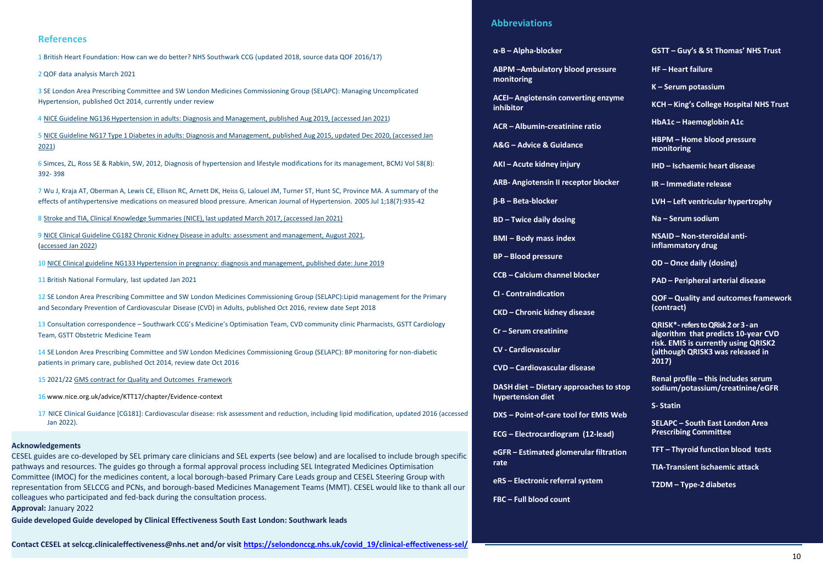#### **References**

1 British Heart Foundation: How can we do better? NHS Southwark CCG (updated 2018, source data QOF 2016/17)

2 QOF data analysis March 2021

3 SE London Area Prescribing Committee and SW London Medicines Commissioning Group (SELAPC): Managing Uncomplicated Hypertension, published Oct 2014, currently under review

4 NICE Guideline NG136 Hypertension in adults: Diagnosis and [Management, published](https://www.nice.org.uk/guidance/ng136/resources/hypertension-in-adults-diagnosis-and-management-pdf-66141722710213) Aug 2019, (accessed Jan 2021)

5 NICE Guideline NG17 Type 1 Diabetes in adults: Diagnosis and [Management,](https://www.nice.org.uk/guidance/ng17/resources/type-1-diabetes-in-adults-diagnosis-and-management-pdf-1837276469701) published Aug 2015, updated Dec 2020, (accessed Jan [2021\)](https://www.nice.org.uk/guidance/ng17/resources/type-1-diabetes-in-adults-diagnosis-and-management-pdf-1837276469701)

6 Simces, ZL, Ross SE & Rabkin, SW, 2012, Diagnosis of hypertension and lifestyle modifications for its management, BCMJ Vol 58(8): 392- 398

7 Wu J, Kraja AT, Oberman A, Lewis CE, Ellison RC, Arnett DK, Heiss G, Lalouel JM, Turner ST, Hunt SC, Province MA. A summary of the effects of antihypertensive medications on measured blood pressure. American Journal of Hypertension. 2005 Jul 1;18(7):935-42

8 Stroke and TIA, Clinical Knowledge Summaries (NICE), last [updated March](https://cks.nice.org.uk/topics/stroke-tia/management/secondary-prevention-following-stroke-tia/) 2017, (accessed Jan 2021)

9 NICE Clinical Guideline CG182 Chronic Kidney Disease in adults: assessment and [management, August 2021,](https://www.nice.org.uk/guidance/cg182/resources/chronic-kidney-disease-in-adults-assessment-and-management-pdf-35109809343205) [\(accessed](https://www.nice.org.uk/guidance/cg182/resources/chronic-kidney-disease-in-adults-assessment-and-management-pdf-35109809343205) Jan 2022)

10 NICE Clinical guideline NG133 Hypertension in pregnancy: diagnosis and [management,](https://www.nice.org.uk/guidance/ng133/resources/hypertension-in-pregnancy-diagnosis-and-management-pdf-66141717671365) published date: June 2019

11 British National Formulary, last updated Jan 2021

12 SE London Area Prescribing Committee and SW London Medicines Commissioning Group (SELAPC):Lipid management for the Primary and Secondary Prevention of Cardiovascular Disease (CVD) in Adults, published Oct 2016, review date Sept 2018

13 Consultation correspondence – Southwark CCG's Medicine's Optimisation Team, CVD community clinic Pharmacists, GSTT Cardiology Team, GSTT Obstetric Medicine Team

14 SE London Area Prescribing Committee and SW London Medicines Commissioning Group (SELAPC): BP monitoring for non-diabetic patients in primary care, published Oct 2014, review date Oct 2016

15 2021/2[2 GMS contract for Quality and Outcomes](https://www.england.nhs.uk/wp-content/uploads/2021/03/B0456-update-on-quality-outcomes-framework-changes-for-21-22-.pdf) Framework

16 [www.nice.org.uk/advice/KTT17/chapter/Evidence-context](http://www.nice.org.uk/advice/KTT17/chapter/Evidence-context)

17 NICE Clinical Guidance [CG181]: Cardiovascular disease: risk assessment and reduction, including lipid modification, updated 2016 (accessed Jan 2022).

#### **Acknowledgements**

CESEL guides are co-developed by SEL primary care clinicians and SEL experts (see below) and are localised to include brough specific pathways and resources. The guides go through a formal approval process including SEL Integrated Medicines Optimisation Committee (IMOC) for the medicines content, a local borough-based Primary Care Leads group and CESEL Steering Group with representation from SELCCG and PCNs, and borough-based Medicines Management Teams (MMT). CESEL would like to thank all our colleagues who participated and fed-back during the consultation process. **Approval:** January 2022

**Guide developed Guide developed by Clinical Effectiveness South East London: Southwark leads**

#### **Abbreviations**

#### **α-B – Alpha-blocker**

**ABPM –Ambulatory blood pressure monitoring**

**ACEI– Angiotensin converting enzyme inhibitor**

**ACR – Albumin-creatinine ratio**

**A&G – Advice & Guidance**

**AKI – Acute kidney injury**

**ARB- Angiotensin II receptor blocker**

**β-B – Beta-blocker**

**BD – Twice daily dosing**

**BMI – Body mass index**

**BP – Blood pressure**

**CCB – Calcium channel blocker**

**CI - Contraindication**

**CKD – Chronic kidney disease**

**Cr – Serum creatinine**

**CV - Cardiovascular**

**CVD – Cardiovascular disease**

**DASH** diet – Dietary approaches to stop **hypertension diet**

**DXS – Point-of-care tool for EMIS Web**

**ECG – Electrocardiogram (12-lead)**

**eGFR – Estimated glomerular filtration rate**

**eRS – Electronic referralsystem**

**FBC – Full blood count**

#### **GSTT – Guy's & St Thomas' NHS Trust**

**HF – Heart failure**

**K – Serum potassium**

**KCH – King's College Hospital NHS Trust**

**HbA1c – Haemoglobin A1c**

**HBPM – Home blood pressure monitoring**

**IHD – Ischaemic heart disease**

**IR – Immediate release**

**LVH – Left ventricular hypertrophy**

**Na – Serum sodium**

**NSAID – Non-steroidal antiinflammatory drug**

**OD – Once daily (dosing)**

**PAD – Peripheral arterial disease**

**QOF – Quality and outcomesframework (contract)**

**QRISK\*-refers to QRisk 2 or 3 -an algorithm that predicts 10-year CVD risk. EMIS is currently using QRISK2 (although QRISK3 was released in 2017)**

**Renal profile – this includes serum sodium/potassium/creatinine/eGFR**

**S- Statin**

**SELAPC – South East London Area Prescribing Committee**

**TFT – Thyroid function blood tests**

**TIA-Transient ischaemic attack**

**T2DM – Type-2 diabetes**